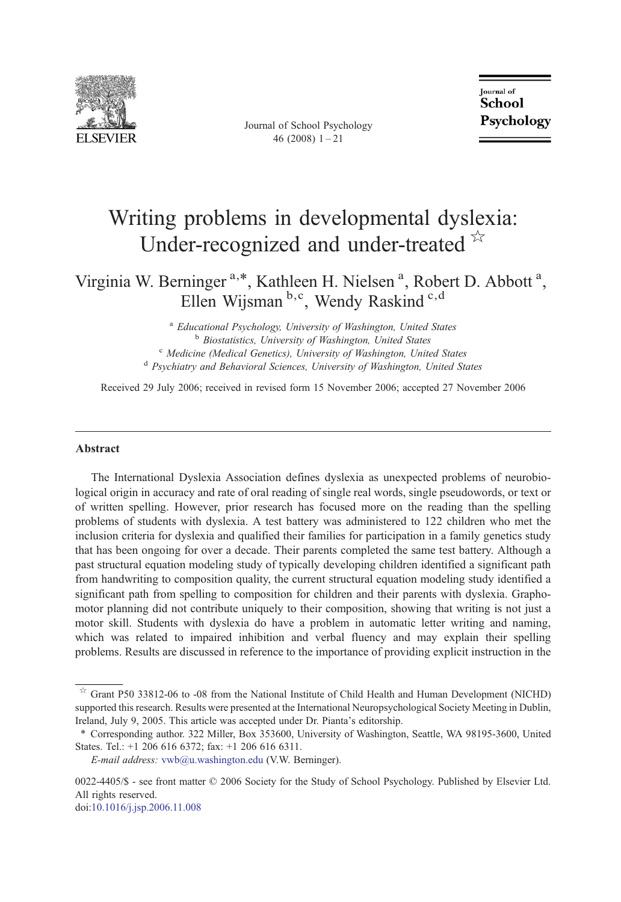

Journal of School Psychology 46 (2008) 1–21

**Journal** of School Psychology

## Writing problems in developmental dyslexia: Under-recognized and under-treated  $\overline{X}$

Virginia W. Berninger<sup>a,\*</sup>, Kathleen H. Nielsen<sup>a</sup>, Robert D. Abbott<sup>a</sup>, Ellen Wijsman b,c, Wendy Raskind<sup>c,d</sup>

<sup>a</sup> Educational Psychology, University of Washington, United States<br><sup>b</sup> Biostatistics, University of Washington, United States<br><sup>c</sup> Medicine (Medical Genetics), University of Washington, United States<br><sup>d</sup> Psychiatry and Be

Received 29 July 2006; received in revised form 15 November 2006; accepted 27 November 2006

### Abstract

The International Dyslexia Association defines dyslexia as unexpected problems of neurobiological origin in accuracy and rate of oral reading of single real words, single pseudowords, or text or of written spelling. However, prior research has focused more on the reading than the spelling problems of students with dyslexia. A test battery was administered to 122 children who met the inclusion criteria for dyslexia and qualified their families for participation in a family genetics study that has been ongoing for over a decade. Their parents completed the same test battery. Although a past structural equation modeling study of typically developing children identified a significant path from handwriting to composition quality, the current structural equation modeling study identified a significant path from spelling to composition for children and their parents with dyslexia. Graphomotor planning did not contribute uniquely to their composition, showing that writing is not just a motor skill. Students with dyslexia do have a problem in automatic letter writing and naming, which was related to impaired inhibition and verbal fluency and may explain their spelling problems. Results are discussed in reference to the importance of providing explicit instruction in the

0022-4405/\$ - see front matter © 2006 Society for the Study of School Psychology. Published by Elsevier Ltd. All rights reserved.

doi:[10.1016/j.jsp.2006.11.008](http://dx.doi.org/10.1016/j.jsp.2006.11.008)

<sup>☆</sup> Grant P50 33812-06 to -08 from the National Institute of Child Health and Human Development (NICHD) supported this research. Results were presented at the International Neuropsychological Society Meeting in Dublin, Ireland, July 9, 2005. This article was accepted under Dr. Pianta's editorship.

<sup>⁎</sup> Corresponding author. 322 Miller, Box 353600, University of Washington, Seattle, WA 98195-3600, United States. Tel.: +1 206 616 6372; fax: +1 206 616 6311.

E-mail address: [vwb@u.washington.edu](mailto:vwb@u.washington.edu) (V.W. Berninger).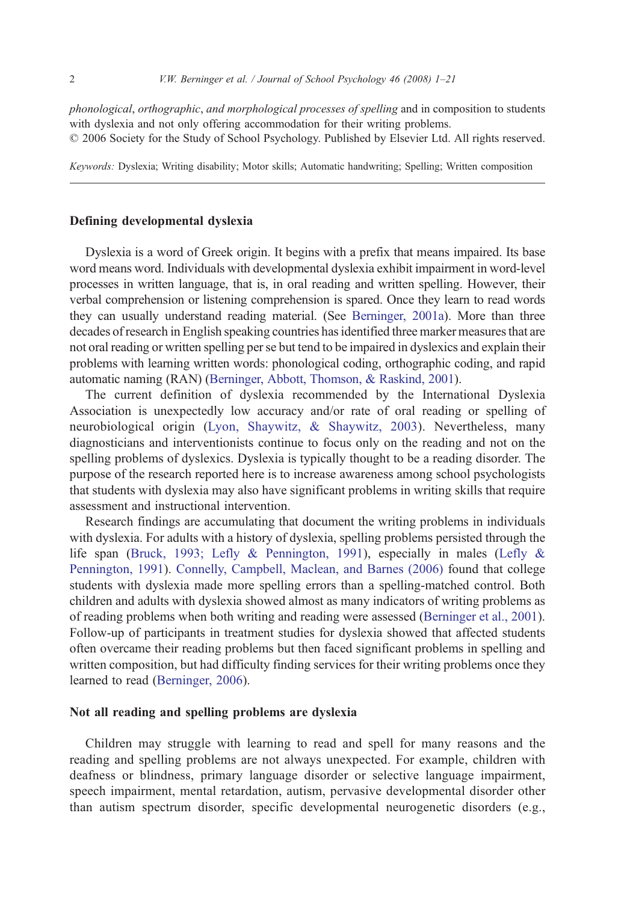phonological, orthographic, and morphological processes of spelling and in composition to students with dyslexia and not only offering accommodation for their writing problems. © 2006 Society for the Study of School Psychology. Published by Elsevier Ltd. All rights reserved.

Keywords: Dyslexia; Writing disability; Motor skills; Automatic handwriting; Spelling; Written composition

#### Defining developmental dyslexia

Dyslexia is a word of Greek origin. It begins with a prefix that means impaired. Its base word means word. Individuals with developmental dyslexia exhibit impairment in word-level processes in written language, that is, in oral reading and written spelling. However, their verbal comprehension or listening comprehension is spared. Once they learn to read words they can usually understand reading material. (See [Berninger, 2001a\)](#page--1-0). More than three decades of research in English speaking countries has identified three marker measures that are not oral reading or written spelling per se but tend to be impaired in dyslexics and explain their problems with learning written words: phonological coding, orthographic coding, and rapid automatic naming (RAN) ([Berninger, Abbott, Thomson, & Raskind, 2001](#page--1-0)).

The current definition of dyslexia recommended by the International Dyslexia Association is unexpectedly low accuracy and/or rate of oral reading or spelling of neurobiological origin ([Lyon, Shaywitz, & Shaywitz, 2003\)](#page--1-0). Nevertheless, many diagnosticians and interventionists continue to focus only on the reading and not on the spelling problems of dyslexics. Dyslexia is typically thought to be a reading disorder. The purpose of the research reported here is to increase awareness among school psychologists that students with dyslexia may also have significant problems in writing skills that require assessment and instructional intervention.

Research findings are accumulating that document the writing problems in individuals with dyslexia. For adults with a history of dyslexia, spelling problems persisted through the life span ([Bruck, 1993; Lefly & Pennington, 1991\)](#page--1-0), especially in males [\(Lefly &](#page--1-0) [Pennington, 1991\)](#page--1-0). [Connelly, Campbell, Maclean, and Barnes \(2006\)](#page--1-0) found that college students with dyslexia made more spelling errors than a spelling-matched control. Both children and adults with dyslexia showed almost as many indicators of writing problems as of reading problems when both writing and reading were assessed [\(Berninger et al., 2001](#page--1-0)). Follow-up of participants in treatment studies for dyslexia showed that affected students often overcame their reading problems but then faced significant problems in spelling and written composition, but had difficulty finding services for their writing problems once they learned to read [\(Berninger, 2006\)](#page--1-0).

#### Not all reading and spelling problems are dyslexia

Children may struggle with learning to read and spell for many reasons and the reading and spelling problems are not always unexpected. For example, children with deafness or blindness, primary language disorder or selective language impairment, speech impairment, mental retardation, autism, pervasive developmental disorder other than autism spectrum disorder, specific developmental neurogenetic disorders (e.g.,